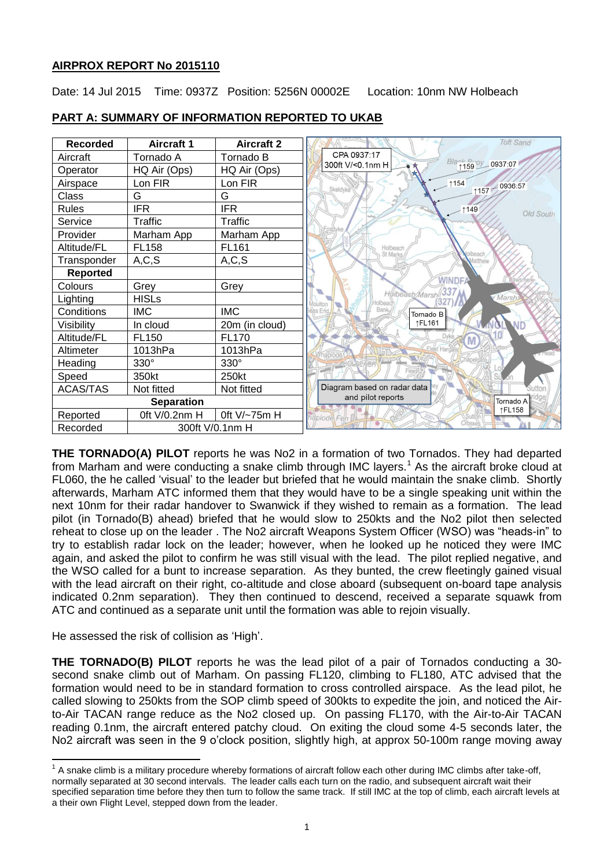# **AIRPROX REPORT No 2015110**

Date: 14 Jul 2015 Time: 0937Z Position: 5256N 00002E Location: 10nm NW Holbeach

| <b>Recorded</b>             | <b>Aircraft 1</b> | <b>Aircraft 2</b> | <b>Toft Sand</b>                        |
|-----------------------------|-------------------|-------------------|-----------------------------------------|
| Aircraft                    | Tornado A         | Tornado B         | CPA 0937:17                             |
| Operator                    | HQ Air (Ops)      | HQ Air (Ops)      | Blant Biroy 0937:07<br>300ft V/<0.1nm H |
| Airspace                    | Lon FIR           | Lon FIR           | $+154$<br>1157 0936:57<br>Skeldyke      |
| Class                       | G                 | G                 |                                         |
| <b>Rules</b>                | <b>IFR</b>        | <b>IFR</b>        | $-1149$<br>Old South                    |
| Service                     | Traffic           | Traffic           |                                         |
| Provider                    | Marham App        | Marham App        |                                         |
| Altitude/FL                 | <b>FL158</b>      | <b>FL161</b>      | Holbeacl<br>St Marks                    |
| Transponder                 | A, C, S           | A, C, S           |                                         |
| <b>Reported</b>             |                   |                   |                                         |
| Colours                     | Grey              | Grey              | <b>WINDF</b>                            |
| Lighting                    | <b>HISLs</b>      |                   | Hölbeach/Mars<br>V Marsh,               |
| Conditions                  | <b>IMC</b>        | <b>IMC</b>        | as End<br>Tornado B                     |
| Visibility                  | In cloud          | 20m (in cloud)    | ↑FL161                                  |
| Altitude/FL                 | FL <sub>150</sub> | <b>FL170</b>      | Dyke                                    |
| Altimeter                   | 1013hPa           | 1013hPa           |                                         |
| Heading                     | $330^\circ$       | $330^\circ$       |                                         |
| Speed                       | 350kt             | 250kt             |                                         |
| <b>ACAS/TAS</b>             | Not fitted        | Not fitted        | Diagram based on radar data             |
| <b>Separation</b>           |                   |                   | and pilot reports<br>Tornado A          |
| Reported                    | Oft V/0.2nm H     | 0ft V/~75m H      | ↑FL158<br>iaplode Fen                   |
| Recorded<br>300ft V/0.1nm H |                   |                   |                                         |

# **PART A: SUMMARY OF INFORMATION REPORTED TO UKAB**

**THE TORNADO(A) PILOT** reports he was No2 in a formation of two Tornados. They had departed from Marham and were conducting a snake climb through IMC layers.<sup>1</sup> As the aircraft broke cloud at FL060, the he called 'visual' to the leader but briefed that he would maintain the snake climb. Shortly afterwards, Marham ATC informed them that they would have to be a single speaking unit within the next 10nm for their radar handover to Swanwick if they wished to remain as a formation. The lead pilot (in Tornado(B) ahead) briefed that he would slow to 250kts and the No2 pilot then selected reheat to close up on the leader . The No2 aircraft Weapons System Officer (WSO) was "heads-in" to try to establish radar lock on the leader; however, when he looked up he noticed they were IMC again, and asked the pilot to confirm he was still visual with the lead. The pilot replied negative, and the WSO called for a bunt to increase separation. As they bunted, the crew fleetingly gained visual with the lead aircraft on their right, co-altitude and close aboard (subsequent on-board tape analysis indicated 0.2nm separation). They then continued to descend, received a separate squawk from ATC and continued as a separate unit until the formation was able to rejoin visually.

He assessed the risk of collision as 'High'.

**THE TORNADO(B) PILOT** reports he was the lead pilot of a pair of Tornados conducting a 30 second snake climb out of Marham. On passing FL120, climbing to FL180, ATC advised that the formation would need to be in standard formation to cross controlled airspace. As the lead pilot, he called slowing to 250kts from the SOP climb speed of 300kts to expedite the join, and noticed the Airto-Air TACAN range reduce as the No2 closed up. On passing FL170, with the Air-to-Air TACAN reading 0.1nm, the aircraft entered patchy cloud. On exiting the cloud some 4-5 seconds later, the No2 aircraft was seen in the 9 o'clock position, slightly high, at approx 50-100m range moving away

The state of the climb is a military procedure whereby formations of aircraft follow each other during IMC climbs after take-off, normally separated at 30 second intervals. The leader calls each turn on the radio, and subsequent aircraft wait their specified separation time before they then turn to follow the same track. If still IMC at the top of climb, each aircraft levels at a their own Flight Level, stepped down from the leader.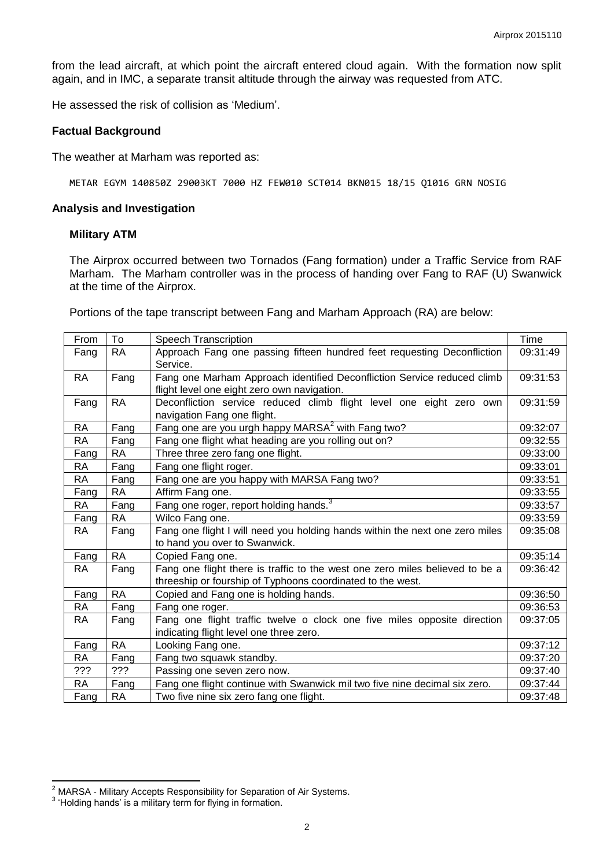from the lead aircraft, at which point the aircraft entered cloud again. With the formation now split again, and in IMC, a separate transit altitude through the airway was requested from ATC.

He assessed the risk of collision as 'Medium'.

#### **Factual Background**

The weather at Marham was reported as:

METAR EGYM 140850Z 29003KT 7000 HZ FEW010 SCT014 BKN015 18/15 Q1016 GRN NOSIG

#### **Analysis and Investigation**

#### **Military ATM**

The Airprox occurred between two Tornados (Fang formation) under a Traffic Service from RAF Marham. The Marham controller was in the process of handing over Fang to RAF (U) Swanwick at the time of the Airprox.

Portions of the tape transcript between Fang and Marham Approach (RA) are below:

| From      | To        | <b>Speech Transcription</b>                                                                                                                |  |  |
|-----------|-----------|--------------------------------------------------------------------------------------------------------------------------------------------|--|--|
| Fang      | <b>RA</b> | Approach Fang one passing fifteen hundred feet requesting Deconfliction<br>Service.                                                        |  |  |
| RA        | Fang      | Fang one Marham Approach identified Deconfliction Service reduced climb<br>flight level one eight zero own navigation.                     |  |  |
| Fang      | <b>RA</b> | Deconfliction service reduced climb flight level one eight zero own<br>navigation Fang one flight.                                         |  |  |
| <b>RA</b> | Fang      | Fang one are you urgh happy MARSA <sup>2</sup> with Fang two?                                                                              |  |  |
| RA        | Fang      | Fang one flight what heading are you rolling out on?                                                                                       |  |  |
| Fang      | RA        | Three three zero fang one flight.                                                                                                          |  |  |
| RA        | Fang      | Fang one flight roger.                                                                                                                     |  |  |
| <b>RA</b> | Fang      | Fang one are you happy with MARSA Fang two?                                                                                                |  |  |
| Fang      | RA        | Affirm Fang one.                                                                                                                           |  |  |
| RA        | Fang      | Fang one roger, report holding hands. <sup>3</sup>                                                                                         |  |  |
| Fang      | RA        | Wilco Fang one.                                                                                                                            |  |  |
| RA        | Fang      | Fang one flight I will need you holding hands within the next one zero miles<br>to hand you over to Swanwick.                              |  |  |
| Fang      | <b>RA</b> | Copied Fang one.                                                                                                                           |  |  |
| RA.       | Fang      | Fang one flight there is traffic to the west one zero miles believed to be a<br>threeship or fourship of Typhoons coordinated to the west. |  |  |
| Fang      | <b>RA</b> | Copied and Fang one is holding hands.                                                                                                      |  |  |
| <b>RA</b> | Fang      | Fang one roger.                                                                                                                            |  |  |
| RA        | Fang      | Fang one flight traffic twelve o clock one five miles opposite direction<br>indicating flight level one three zero.                        |  |  |
| Fang      | <b>RA</b> | Looking Fang one.                                                                                                                          |  |  |
| RA        | Fang      | Fang two squawk standby.                                                                                                                   |  |  |
| ???       | ???       | Passing one seven zero now.                                                                                                                |  |  |
| RA        | Fang      | Fang one flight continue with Swanwick mil two five nine decimal six zero.                                                                 |  |  |
| Fang      | RA        | Two five nine six zero fang one flight.                                                                                                    |  |  |

 2 MARSA - Military Accepts Responsibility for Separation of Air Systems.

 $3$  'Holding hands' is a military term for flying in formation.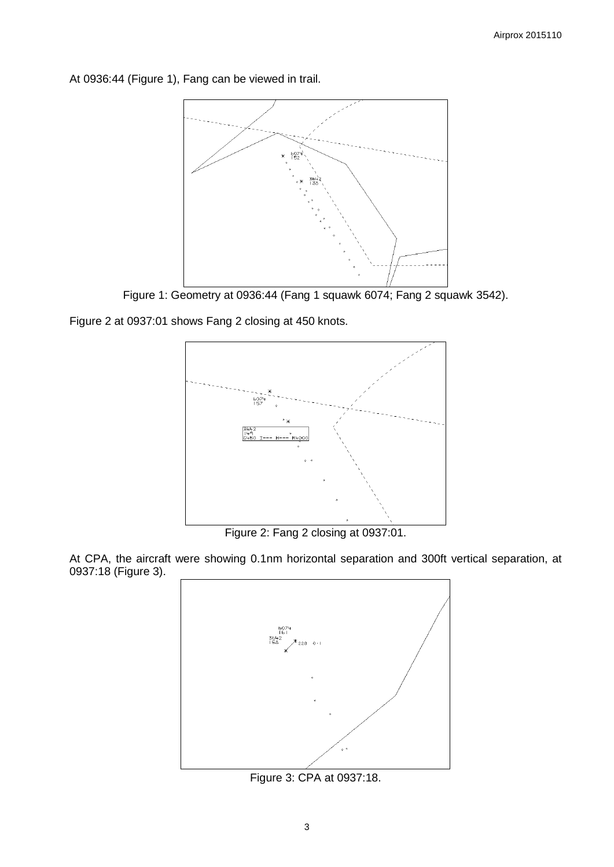At 0936:44 (Figure 1), Fang can be viewed in trail.



Figure 1: Geometry at 0936:44 (Fang 1 squawk 6074; Fang 2 squawk 3542).

Figure 2 at 0937:01 shows Fang 2 closing at 450 knots.



Figure 2: Fang 2 closing at 0937:01.

At CPA, the aircraft were showing 0.1nm horizontal separation and 300ft vertical separation, at 0937:18 (Figure 3).



Figure 3: CPA at 0937:18.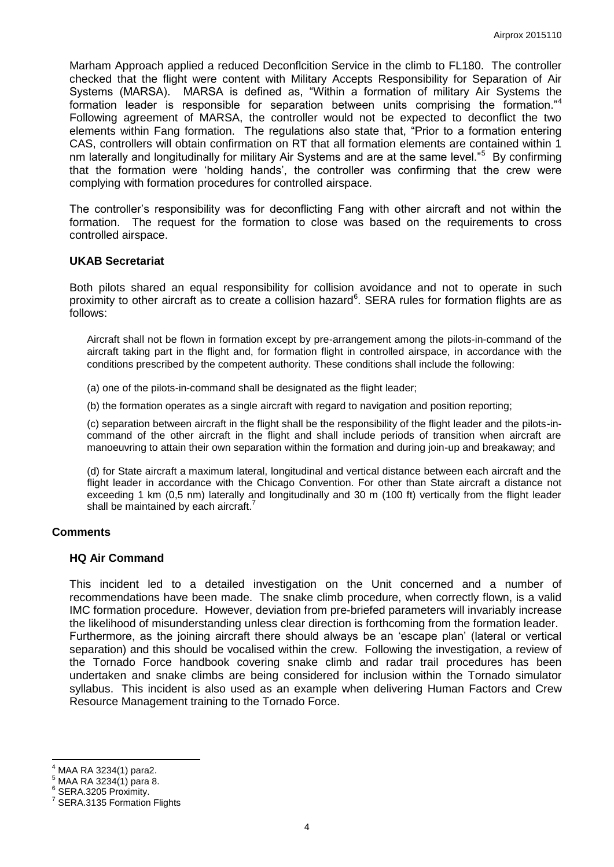Marham Approach applied a reduced Deconflcition Service in the climb to FL180. The controller checked that the flight were content with Military Accepts Responsibility for Separation of Air Systems (MARSA). MARSA is defined as, "Within a formation of military Air Systems the formation leader is responsible for separation between units comprising the formation."<sup>4</sup> Following agreement of MARSA, the controller would not be expected to deconflict the two elements within Fang formation. The regulations also state that, "Prior to a formation entering CAS, controllers will obtain confirmation on RT that all formation elements are contained within 1 nm laterally and longitudinally for military Air Systems and are at the same level."<sup>5</sup> By confirming that the formation were 'holding hands', the controller was confirming that the crew were complying with formation procedures for controlled airspace.

The controller's responsibility was for deconflicting Fang with other aircraft and not within the formation. The request for the formation to close was based on the requirements to cross controlled airspace.

#### **UKAB Secretariat**

Both pilots shared an equal responsibility for collision avoidance and not to operate in such proximity to other aircraft as to create a collision hazard<sup>6</sup>. SERA rules for formation flights are as follows:

Aircraft shall not be flown in formation except by pre-arrangement among the pilots-in-command of the aircraft taking part in the flight and, for formation flight in controlled airspace, in accordance with the conditions prescribed by the competent authority. These conditions shall include the following:

(a) one of the pilots-in-command shall be designated as the flight leader;

(b) the formation operates as a single aircraft with regard to navigation and position reporting;

(c) separation between aircraft in the flight shall be the responsibility of the flight leader and the pilots-incommand of the other aircraft in the flight and shall include periods of transition when aircraft are manoeuvring to attain their own separation within the formation and during join-up and breakaway; and

(d) for State aircraft a maximum lateral, longitudinal and vertical distance between each aircraft and the flight leader in accordance with the Chicago Convention. For other than State aircraft a distance not exceeding 1 km (0,5 nm) laterally and longitudinally and 30 m (100 ft) vertically from the flight leader shall be maintained by each aircraft.

# **Comments**

#### **HQ Air Command**

This incident led to a detailed investigation on the Unit concerned and a number of recommendations have been made. The snake climb procedure, when correctly flown, is a valid IMC formation procedure. However, deviation from pre-briefed parameters will invariably increase the likelihood of misunderstanding unless clear direction is forthcoming from the formation leader. Furthermore, as the joining aircraft there should always be an 'escape plan' (lateral or vertical separation) and this should be vocalised within the crew. Following the investigation, a review of the Tornado Force handbook covering snake climb and radar trail procedures has been undertaken and snake climbs are being considered for inclusion within the Tornado simulator syllabus. This incident is also used as an example when delivering Human Factors and Crew Resource Management training to the Tornado Force.

 $\overline{a}$ 

<sup>4</sup> MAA RA 3234(1) para2.

<sup>5</sup> MAA RA 3234(1) para 8.

<sup>6</sup> SERA.3205 Proximity.

<sup>7</sup> SERA.3135 Formation Flights